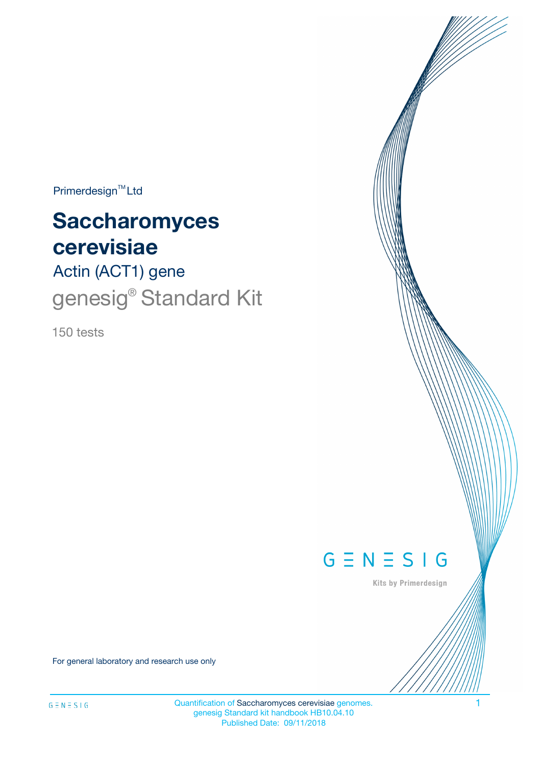$Primerdesign^{TM}$ Ltd

# **Saccharomyces cerevisiae**

Actin (ACT1) gene genesig<sup>®</sup> Standard Kit

150 tests



Kits by Primerdesign

For general laboratory and research use only

Quantification of Saccharomyces cerevisiae genomes. 1 genesig Standard kit handbook HB10.04.10 Published Date: 09/11/2018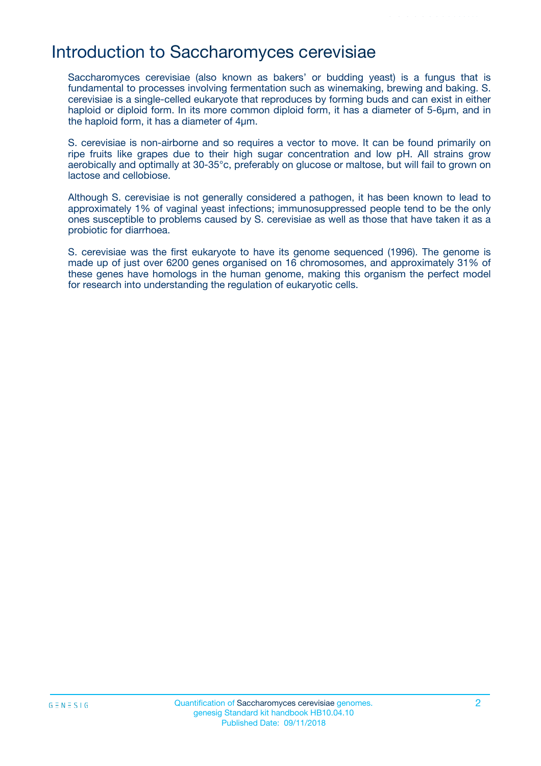## Introduction to Saccharomyces cerevisiae

Saccharomyces cerevisiae (also known as bakers' or budding yeast) is a fungus that is fundamental to processes involving fermentation such as winemaking, brewing and baking. S. cerevisiae is a single-celled eukaryote that reproduces by forming buds and can exist in either haploid or diploid form. In its more common diploid form, it has a diameter of 5-6µm, and in the haploid form, it has a diameter of 4µm.

S. cerevisiae is non-airborne and so requires a vector to move. It can be found primarily on ripe fruits like grapes due to their high sugar concentration and low pH. All strains grow aerobically and optimally at 30-35°c, preferably on glucose or maltose, but will fail to grown on lactose and cellobiose.

Although S. cerevisiae is not generally considered a pathogen, it has been known to lead to approximately 1% of vaginal yeast infections; immunosuppressed people tend to be the only ones susceptible to problems caused by S. cerevisiae as well as those that have taken it as a probiotic for diarrhoea.

S. cerevisiae was the first eukaryote to have its genome sequenced (1996). The genome is made up of just over 6200 genes organised on 16 chromosomes, and approximately 31% of these genes have homologs in the human genome, making this organism the perfect model for research into understanding the regulation of eukaryotic cells.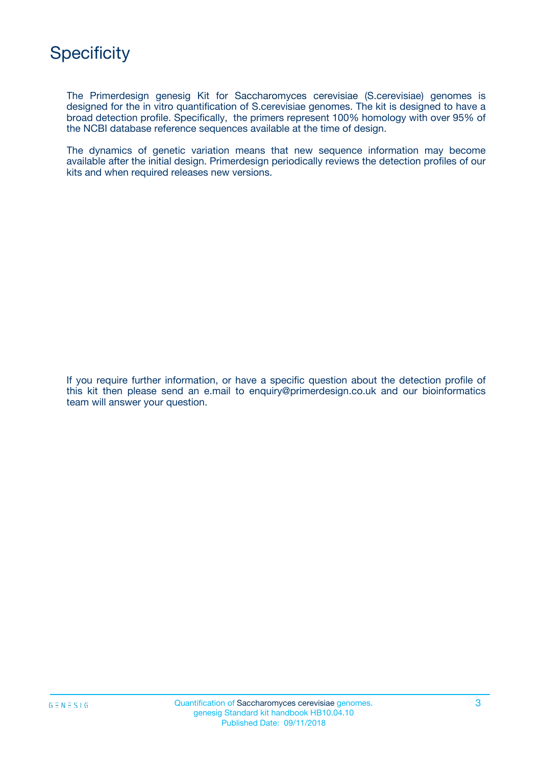The Primerdesign genesig Kit for Saccharomyces cerevisiae (S.cerevisiae) genomes is designed for the in vitro quantification of S.cerevisiae genomes. The kit is designed to have a broad detection profile. Specifically, the primers represent 100% homology with over 95% of the NCBI database reference sequences available at the time of design.

The dynamics of genetic variation means that new sequence information may become available after the initial design. Primerdesign periodically reviews the detection profiles of our kits and when required releases new versions.

If you require further information, or have a specific question about the detection profile of this kit then please send an e.mail to enquiry@primerdesign.co.uk and our bioinformatics team will answer your question.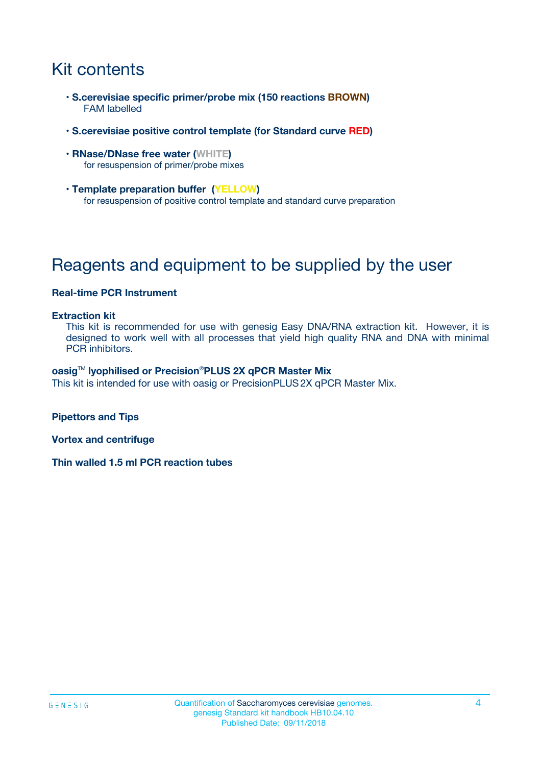# Kit contents

- **S.cerevisiae specific primer/probe mix (150 reactions BROWN)** FAM labelled
- **S.cerevisiae positive control template (for Standard curve RED)**
- **RNase/DNase free water (WHITE)** for resuspension of primer/probe mixes
- **Template preparation buffer (YELLOW)** for resuspension of positive control template and standard curve preparation

# Reagents and equipment to be supplied by the user

### **Real-time PCR Instrument**

#### **Extraction kit**

This kit is recommended for use with genesig Easy DNA/RNA extraction kit. However, it is designed to work well with all processes that yield high quality RNA and DNA with minimal PCR inhibitors.

#### **oasig**TM **lyophilised or Precision**®**PLUS 2X qPCR Master Mix**

This kit is intended for use with oasig or PrecisionPLUS2X qPCR Master Mix.

**Pipettors and Tips**

**Vortex and centrifuge**

**Thin walled 1.5 ml PCR reaction tubes**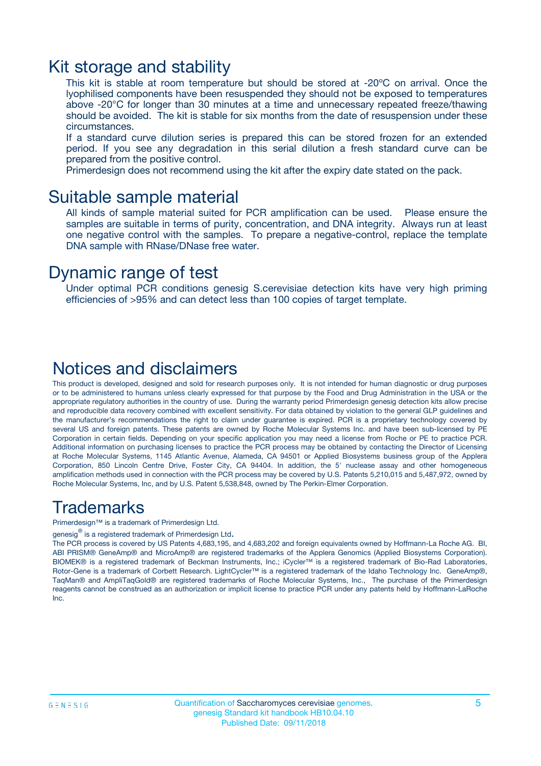### Kit storage and stability

This kit is stable at room temperature but should be stored at -20ºC on arrival. Once the lyophilised components have been resuspended they should not be exposed to temperatures above -20°C for longer than 30 minutes at a time and unnecessary repeated freeze/thawing should be avoided. The kit is stable for six months from the date of resuspension under these circumstances.

If a standard curve dilution series is prepared this can be stored frozen for an extended period. If you see any degradation in this serial dilution a fresh standard curve can be prepared from the positive control.

Primerdesign does not recommend using the kit after the expiry date stated on the pack.

### Suitable sample material

All kinds of sample material suited for PCR amplification can be used. Please ensure the samples are suitable in terms of purity, concentration, and DNA integrity. Always run at least one negative control with the samples. To prepare a negative-control, replace the template DNA sample with RNase/DNase free water.

### Dynamic range of test

Under optimal PCR conditions genesig S.cerevisiae detection kits have very high priming efficiencies of >95% and can detect less than 100 copies of target template.

### Notices and disclaimers

This product is developed, designed and sold for research purposes only. It is not intended for human diagnostic or drug purposes or to be administered to humans unless clearly expressed for that purpose by the Food and Drug Administration in the USA or the appropriate regulatory authorities in the country of use. During the warranty period Primerdesign genesig detection kits allow precise and reproducible data recovery combined with excellent sensitivity. For data obtained by violation to the general GLP guidelines and the manufacturer's recommendations the right to claim under guarantee is expired. PCR is a proprietary technology covered by several US and foreign patents. These patents are owned by Roche Molecular Systems Inc. and have been sub-licensed by PE Corporation in certain fields. Depending on your specific application you may need a license from Roche or PE to practice PCR. Additional information on purchasing licenses to practice the PCR process may be obtained by contacting the Director of Licensing at Roche Molecular Systems, 1145 Atlantic Avenue, Alameda, CA 94501 or Applied Biosystems business group of the Applera Corporation, 850 Lincoln Centre Drive, Foster City, CA 94404. In addition, the 5' nuclease assay and other homogeneous amplification methods used in connection with the PCR process may be covered by U.S. Patents 5,210,015 and 5,487,972, owned by Roche Molecular Systems, Inc, and by U.S. Patent 5,538,848, owned by The Perkin-Elmer Corporation.

### Trademarks

Primerdesign™ is a trademark of Primerdesign Ltd.

genesig $^\circledR$  is a registered trademark of Primerdesign Ltd.

The PCR process is covered by US Patents 4,683,195, and 4,683,202 and foreign equivalents owned by Hoffmann-La Roche AG. BI, ABI PRISM® GeneAmp® and MicroAmp® are registered trademarks of the Applera Genomics (Applied Biosystems Corporation). BIOMEK® is a registered trademark of Beckman Instruments, Inc.; iCycler™ is a registered trademark of Bio-Rad Laboratories, Rotor-Gene is a trademark of Corbett Research. LightCycler™ is a registered trademark of the Idaho Technology Inc. GeneAmp®, TaqMan® and AmpliTaqGold® are registered trademarks of Roche Molecular Systems, Inc., The purchase of the Primerdesign reagents cannot be construed as an authorization or implicit license to practice PCR under any patents held by Hoffmann-LaRoche Inc.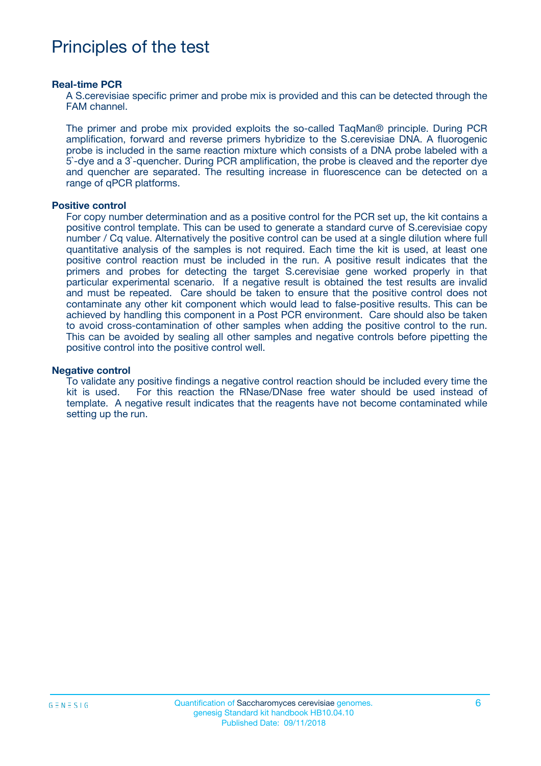# Principles of the test

#### **Real-time PCR**

A S.cerevisiae specific primer and probe mix is provided and this can be detected through the FAM channel.

The primer and probe mix provided exploits the so-called TaqMan® principle. During PCR amplification, forward and reverse primers hybridize to the S.cerevisiae DNA. A fluorogenic probe is included in the same reaction mixture which consists of a DNA probe labeled with a 5`-dye and a 3`-quencher. During PCR amplification, the probe is cleaved and the reporter dye and quencher are separated. The resulting increase in fluorescence can be detected on a range of qPCR platforms.

#### **Positive control**

For copy number determination and as a positive control for the PCR set up, the kit contains a positive control template. This can be used to generate a standard curve of S.cerevisiae copy number / Cq value. Alternatively the positive control can be used at a single dilution where full quantitative analysis of the samples is not required. Each time the kit is used, at least one positive control reaction must be included in the run. A positive result indicates that the primers and probes for detecting the target S.cerevisiae gene worked properly in that particular experimental scenario. If a negative result is obtained the test results are invalid and must be repeated. Care should be taken to ensure that the positive control does not contaminate any other kit component which would lead to false-positive results. This can be achieved by handling this component in a Post PCR environment. Care should also be taken to avoid cross-contamination of other samples when adding the positive control to the run. This can be avoided by sealing all other samples and negative controls before pipetting the positive control into the positive control well.

#### **Negative control**

To validate any positive findings a negative control reaction should be included every time the kit is used. For this reaction the RNase/DNase free water should be used instead of template. A negative result indicates that the reagents have not become contaminated while setting up the run.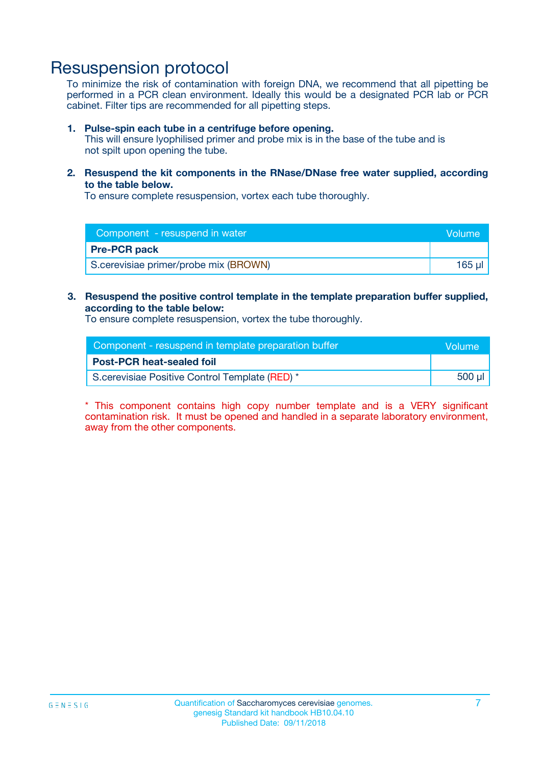# Resuspension protocol

To minimize the risk of contamination with foreign DNA, we recommend that all pipetting be performed in a PCR clean environment. Ideally this would be a designated PCR lab or PCR cabinet. Filter tips are recommended for all pipetting steps.

#### **1. Pulse-spin each tube in a centrifuge before opening.**

This will ensure lyophilised primer and probe mix is in the base of the tube and is not spilt upon opening the tube.

**2. Resuspend the kit components in the RNase/DNase free water supplied, according to the table below.**

To ensure complete resuspension, vortex each tube thoroughly.

| Component - resuspend in water        | Volume: |
|---------------------------------------|---------|
| <b>Pre-PCR pack</b>                   |         |
| S.cerevisiae primer/probe mix (BROWN) | 165 ul  |

### **3. Resuspend the positive control template in the template preparation buffer supplied, according to the table below:**

To ensure complete resuspension, vortex the tube thoroughly.

| Component - resuspend in template preparation buffer |        |  |
|------------------------------------------------------|--------|--|
| <b>Post-PCR heat-sealed foil</b>                     |        |  |
| S.cerevisiae Positive Control Template (RED) *       | 500 µl |  |

\* This component contains high copy number template and is a VERY significant contamination risk. It must be opened and handled in a separate laboratory environment, away from the other components.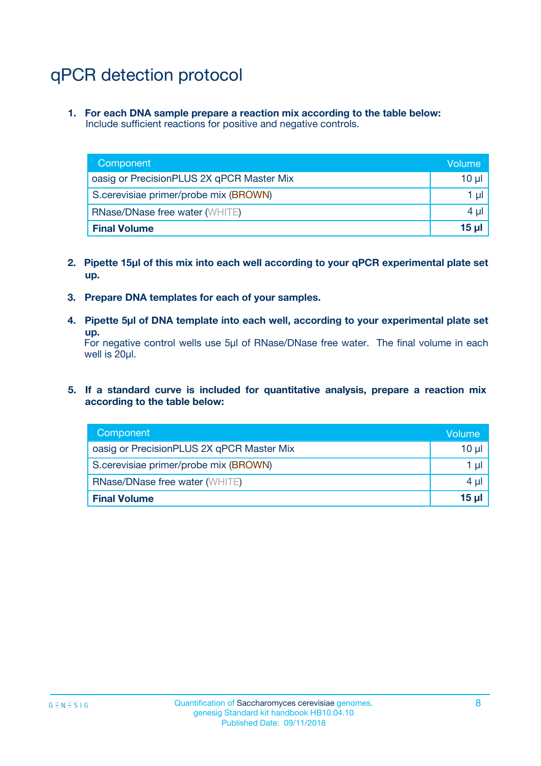# qPCR detection protocol

**1. For each DNA sample prepare a reaction mix according to the table below:** Include sufficient reactions for positive and negative controls.

| Component                                 | Volume     |
|-------------------------------------------|------------|
| oasig or PrecisionPLUS 2X qPCR Master Mix | 10 $\mu$   |
| S.cerevisiae primer/probe mix (BROWN)     | 1 $\mu$    |
| <b>RNase/DNase free water (WHITE)</b>     | $4 \mu$    |
| <b>Final Volume</b>                       | $15$ $\mu$ |

- **2. Pipette 15µl of this mix into each well according to your qPCR experimental plate set up.**
- **3. Prepare DNA templates for each of your samples.**
- **4. Pipette 5µl of DNA template into each well, according to your experimental plate set up.**

For negative control wells use 5µl of RNase/DNase free water. The final volume in each well is 20µl.

**5. If a standard curve is included for quantitative analysis, prepare a reaction mix according to the table below:**

| Component                                 | Volume     |
|-------------------------------------------|------------|
| oasig or PrecisionPLUS 2X qPCR Master Mix | 10 µl      |
| S.cerevisiae primer/probe mix (BROWN)     | 1 µI       |
| <b>RNase/DNase free water (WHITE)</b>     | $4 \mu$    |
| <b>Final Volume</b>                       | $15$ $\mu$ |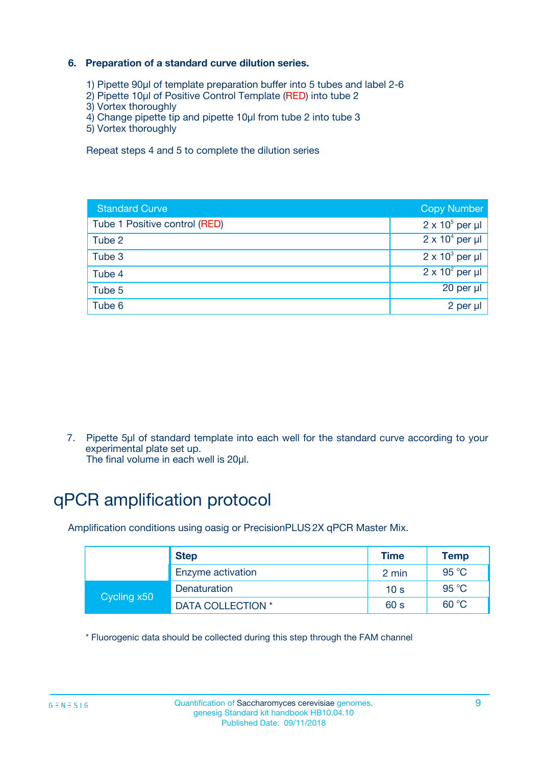### **6. Preparation of a standard curve dilution series.**

- 1) Pipette 90µl of template preparation buffer into 5 tubes and label 2-6
- 2) Pipette 10µl of Positive Control Template (RED) into tube 2
- 3) Vortex thoroughly
- 4) Change pipette tip and pipette 10µl from tube 2 into tube 3
- 5) Vortex thoroughly

Repeat steps 4 and 5 to complete the dilution series

| <b>Standard Curve</b>         | <b>Copy Number</b>     |
|-------------------------------|------------------------|
| Tube 1 Positive control (RED) | $2 \times 10^5$ per µl |
| Tube 2                        | $2 \times 10^4$ per µl |
| Tube 3                        | $2 \times 10^3$ per µl |
| Tube 4                        | $2 \times 10^2$ per µl |
| Tube 5                        | 20 per µl              |
| Tube 6                        | $2$ per $\mu$          |

7. Pipette 5µl of standard template into each well for the standard curve according to your experimental plate set up.

The final volume in each well is 20µl.

# qPCR amplification protocol

Amplification conditions using oasig or PrecisionPLUS2X qPCR Master Mix.

|             | <b>Step</b>       | <b>Time</b>     | Temp    |
|-------------|-------------------|-----------------|---------|
|             | Enzyme activation | 2 min           | 95 $°C$ |
| Cycling x50 | Denaturation      | 10 <sub>s</sub> | 95 $°C$ |
|             | DATA COLLECTION * | 60 s            | 60 °C   |

\* Fluorogenic data should be collected during this step through the FAM channel